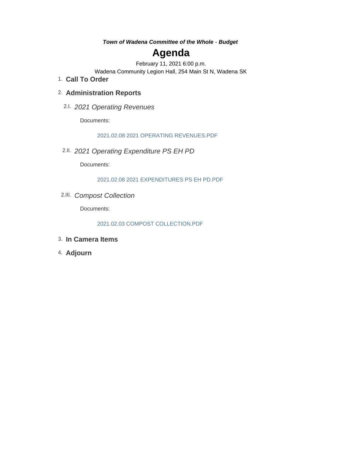*Town of Wadena Committee of the Whole - Budget*

# **Agenda**

February 11, 2021 6:00 p.m.

Wadena Community Legion Hall, 254 Main St N, Wadena SK

**Call To Order** 1.

## **Administration Reports** 2.

*2021 Operating Revenues* 2.I.

Documents:

2021.02.08 2021 OPERATING REVENUES.PDF

*2021 Operating Expenditure PS EH PD* 2.II.

Documents:

2021.02.08 2021 EXPENDITURES PS EH PD.PDF

*Compost Collection* 2.III.

Documents:

2021.02.03 COMPOST COLLECTION.PDF

- **In Camera Items** 3.
- **Adjourn** 4.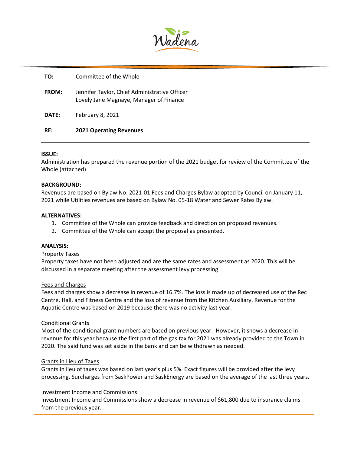

| RE:          | <b>2021 Operating Revenues</b>                                                           |
|--------------|------------------------------------------------------------------------------------------|
| DATE:        | February 8, 2021                                                                         |
| <b>FROM:</b> | Jennifer Taylor, Chief Administrative Officer<br>Lovely Jane Magnaye, Manager of Finance |
| TO:          | Committee of the Whole                                                                   |

#### **ISSUE:**

Administration has prepared the revenue portion of the 2021 budget for review of the Committee of the Whole (attached).

#### **BACKGROUND:**

Revenues are based on Bylaw No. 2021-01 Fees and Charges Bylaw adopted by Council on January 11, 2021 while Utilities revenues are based on Bylaw No. 05-18 Water and Sewer Rates Bylaw.

#### **ALTERNATIVES:**

- 1. Committee of the Whole can provide feedback and direction on proposed revenues.
- 2. Committee of the Whole can accept the proposal as presented.

#### **ANALYSIS:**

#### Property Taxes

Property taxes have not been adjusted and are the same rates and assessment as 2020. This will be discussed in a separate meeting after the assessment levy processing.

#### Fees and Charges

Fees and charges show a decrease in revenue of 16.7%. The loss is made up of decreased use of the Rec Centre, Hall, and Fitness Centre and the loss of revenue from the Kitchen Auxiliary. Revenue for the Aquatic Centre was based on 2019 because there was no activity last year.

#### Conditional Grants

Most of the conditional grant numbers are based on previous year. However, it shows a decrease in revenue for this year because the first part of the gas tax for 2021 was already provided to the Town in 2020. The said fund was set aside in the bank and can be withdrawn as needed.

#### Grants in Lieu of Taxes

Grants in lieu of taxes was based on last year's plus 5%. Exact figures will be provided after the levy processing. Surcharges from SaskPower and SaskEnergy are based on the average of the last three years.

#### Investment Income and Commissions

Investment Income and Commissions show a decrease in revenue of \$61,800 due to insurance claims from the previous year.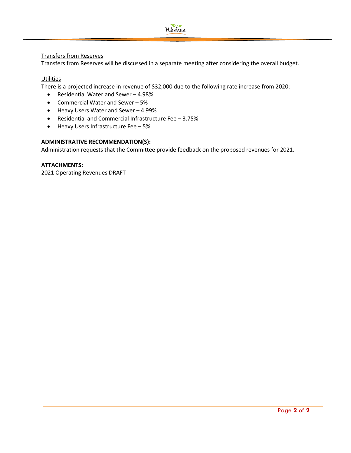

## Transfers from Reserves

Transfers from Reserves will be discussed in a separate meeting after considering the overall budget.

## **Utilities**

There is a projected increase in revenue of \$32,000 due to the following rate increase from 2020:

- Residential Water and Sewer 4.98%
- Commercial Water and Sewer 5%
- Heavy Users Water and Sewer 4.99%
- Residential and Commercial Infrastructure Fee 3.75%
- Heavy Users Infrastructure Fee 5%

## **ADMINISTRATIVE RECOMMENDATION(S):**

Administration requests that the Committee provide feedback on the proposed revenues for 2021.

## **ATTACHMENTS:**

2021 Operating Revenues DRAFT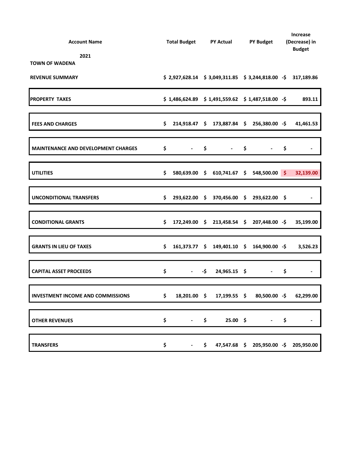| <b>Account Name</b>                        | Total Budget PY Actual PY Budget |                                                               |                     |                                            |  |                                                                 | Increase<br>(Decrease) in<br><b>Budget</b> |                |
|--------------------------------------------|----------------------------------|---------------------------------------------------------------|---------------------|--------------------------------------------|--|-----------------------------------------------------------------|--------------------------------------------|----------------|
| 2021<br><b>TOWN OF WADENA</b>              |                                  |                                                               |                     |                                            |  |                                                                 |                                            |                |
| <b>REVENUE SUMMARY</b>                     |                                  | $$2,927,628.14$ $$3,049,311.85$ $$3,244,818.00$ $$317,189.86$ |                     |                                            |  |                                                                 |                                            |                |
| <b>PROPERTY TAXES</b>                      |                                  | $$1,486,624.89$ $$1,491,559.62$ $$1,487,518.00$ $$$           |                     |                                            |  |                                                                 |                                            | 893.11         |
| <b>FEES AND CHARGES</b>                    | \$                               |                                                               |                     | 214,918.47 \$ 173,887.84 \$ 256,380.00 -\$ |  |                                                                 |                                            | 41,461.53      |
| <b>MAINTENANCE AND DEVELOPMENT CHARGES</b> |                                  | $\sim$                                                        |                     | $-$ \$<br>$-$ \$                           |  |                                                                 | \$                                         |                |
| <b>UTILITIES</b>                           | \$                               |                                                               |                     | 580,639.00 \$ 610,741.67 \$ 548,500.00 \$  |  |                                                                 |                                            | 32,139.00      |
| <b>UNCONDITIONAL TRANSFERS</b>             | \$                               |                                                               |                     | 293,622.00 \$ 370,456.00 \$ 293,622.00 \$  |  |                                                                 |                                            |                |
| <b>CONDITIONAL GRANTS</b>                  | \$                               |                                                               |                     | 172,249.00 \$ 213,458.54 \$ 207,448.00 -\$ |  |                                                                 |                                            | 35,199.00      |
| <b>GRANTS IN LIEU OF TAXES</b>             | \$                               |                                                               |                     | 161,373.77 \$ 149,401.10 \$ 164,900.00 -\$ |  |                                                                 |                                            | 3,526.23       |
| <b>CAPITAL ASSET PROCEEDS</b>              | \$                               | $\sim 100$                                                    | -\$                 | $24,965.15$ \$                             |  | $\bullet$ .<br><br><br><br><br><br><br><br><br><br><br><br><br> | \$                                         |                |
| <b>INVESTMENT INCOME AND COMMISSIONS</b>   | \$                               | 18,201.00 \$                                                  |                     |                                            |  | 17,199.55 \$ 80,500.00 -\$ 62,299.00                            |                                            |                |
| <b>OTHER REVENUES</b>                      | \$                               | $\blacksquare$                                                | \$                  | $25.00\;$ \$                               |  | $ \,$                                                           | \$                                         | $\blacksquare$ |
| <b>TRANSFERS</b>                           | \$                               |                                                               | $\ddot{\bm{\zeta}}$ |                                            |  | 47,547.68 \$ 205,950.00 -\$ 205,950.00                          |                                            |                |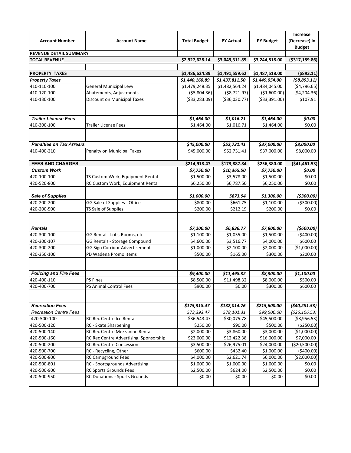| <b>Account Number</b>           | <b>Account Name</b>                    | <b>Total Budget</b> | <b>PY Actual</b> | <b>PY Budget</b> | Increase<br>(Decrease) in<br><b>Budget</b> |
|---------------------------------|----------------------------------------|---------------------|------------------|------------------|--------------------------------------------|
| <b>REVENUE DETAIL SUMMARY</b>   |                                        |                     |                  |                  |                                            |
| <b>TOTAL REVENUE</b>            |                                        | \$2,927,628.14      | \$3,049,311.85   | \$3,244,818.00   | ( \$317,189.86)                            |
|                                 |                                        |                     |                  |                  |                                            |
| <b>PROPERTY TAXES</b>           |                                        | \$1,486,624.89      | \$1,491,559.62   | \$1,487,518.00   | ( \$893.11)                                |
| <b>Property Taxes</b>           |                                        | \$1,440,160.89      | \$1,437,811.50   | \$1,449,054.00   | (58, 893.11)                               |
| 410-110-100                     | <b>General Municipal Levy</b>          | \$1,479,248.35      | \$1,482,564.24   | \$1,484,045.00   | ( \$4,796.65)                              |
| 410-120-100                     | Abatements, Adjustments                | ( \$5,804.36)       | ( \$8,721.97)    | (\$1,600.00)     | ( \$4, 204.36)                             |
| 410-130-100                     | Discount on Municipal Taxes            | ( \$33, 283.09)     | ( \$36,030.77)   | ( \$33, 391.00)  | \$107.91                                   |
| <b>Trailer License Fees</b>     |                                        | \$1,464.00          | \$1,016.71       | \$1,464.00       | \$0.00                                     |
| 410-300-100                     | <b>Trailer License Fees</b>            | \$1,464.00          | \$1,016.71       | \$1,464.00       | \$0.00                                     |
| <b>Penalties on Tax Arrears</b> |                                        | \$45,000.00         | \$52,731.41      | \$37,000.00      | \$8,000.00                                 |
| 410-400-210                     | Penalty on Municipal Taxes             | \$45,000.00         | \$52,731.41      | \$37,000.00      | \$8,000.00                                 |
|                                 |                                        |                     |                  |                  |                                            |
| <b>FEES AND CHARGES</b>         |                                        | \$214,918.47        | \$173,887.84     | \$256,380.00     | ( \$41,461.53)                             |
| <b>Custom Work</b>              |                                        | \$7,750.00          | \$10,365.50      | \$7,750.00       | \$0.00                                     |
| 420-100-100                     | TS Custom Work, Equipment Rental       | \$1,500.00          | \$3,578.00       | \$1,500.00       | \$0.00                                     |
| 420-520-800                     | RC Custom Work, Equipment Rental       | \$6,250.00          | \$6,787.50       | \$6,250.00       | \$0.00                                     |
|                                 |                                        |                     |                  |                  |                                            |
| <b>Sale of Supplies</b>         |                                        | \$1,000.00          | \$873.94         | \$1,300.00       | ( \$300.00]                                |
| 420-200-200                     | GG Sale of Supplies - Office           | \$800.00            | \$661.75         | \$1,100.00       | ( \$300.00)                                |
| 420-200-500                     | TS Sale of Supplies                    | \$200.00            | \$212.19         | \$200.00         | \$0.00                                     |
| <b>Rentals</b>                  |                                        | \$7,200.00          | \$6,836.77       | \$7,800.00       | (5600.00)                                  |
| 420-300-100                     | GG Rental - Lots, Rooms, etc           | \$1,100.00          | \$1,055.00       | \$1,500.00       | (5400.00)                                  |
| 420-300-107                     | GG Rentals - Storage Compound          | \$4,600.00          | \$3,516.77       | \$4,000.00       | \$600.00                                   |
| 420-300-200                     | GG Sign Corridor Advertisement         | \$1,000.00          | \$2,100.00       | \$2,000.00       | (\$1,000.00)                               |
| 420-350-100                     | PD Wadena Promo Items                  | \$500.00            | \$165.00         | \$300.00         | \$200.00                                   |
| <b>Policing and Fire Fees</b>   |                                        | \$9,400.00          | \$11,498.32      | \$8,300.00       | \$1,100.00                                 |
| 420-400-110                     | <b>PS Fines</b>                        | \$8,500.00          | \$11,498.32      | \$8,000.00       | \$500.00                                   |
| 420-400-700                     | <b>PS Animal Control Fees</b>          | \$900.00            | \$0.00           | \$300.00         | \$600.00                                   |
| <b>Recreation Fees</b>          |                                        | \$175,318.47        | \$132,014.76     | \$215,600.00     | (540, 281.53)                              |
| <b>Recreation Centre Fees</b>   |                                        | \$73,393.47         | \$78,101.31      | \$99,500.00      | (526, 106.53)                              |
| 420-500-100                     | RC Rec Centre Ice Rental               | \$36,543.47         | \$30,075.78      | \$45,500.00      | ( \$8,956.53)                              |
| 420-500-120                     | RC - Skate Sharpening                  | \$250.00            | \$90.00          | \$500.00         | ( \$250.00)                                |
| 420-500-140                     | RC Rec Centre Mezzanine Rental         | \$2,000.00          | \$3,860.00       | \$3,000.00       | (\$1,000.00)                               |
| 420-500-160                     | RC Rec Centre Advertising, Sponsorship | \$23,000.00         | \$12,422.38      | \$16,000.00      | \$7,000.00                                 |
| 420-500-200                     | <b>RC Rec Centre Concession</b>        | \$3,500.00          | \$26,975.01      | \$24,000.00      | ( \$20,500.00)                             |
| 420-500-700                     | RC - Recycling, Other                  | \$600.00            | \$432.40         | \$1,000.00       | (\$400.00)                                 |
| 420-500-800                     | RC Campground Fees                     | \$4,000.00          | \$2,621.74       | \$6,000.00       | ( \$2,000.00)                              |
| 420-500-801                     | RC - Sportsgrounds Advertising         | \$1,000.00          | \$1,000.00       | \$1,000.00       | \$0.00                                     |
| 420-500-900                     | RC Sports Grounds Fees                 | \$2,500.00          | \$624.00         | \$2,500.00       | \$0.00                                     |
| 420-500-950                     | <b>RC Donations - Sports Grounds</b>   | \$0.00              | \$0.00           | \$0.00           | \$0.00                                     |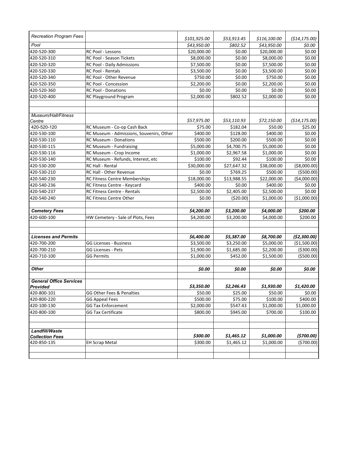| <b>Recreation Program Fees</b>             |                                          | \$101,925.00 | \$53,913.45 | \$116,100.00 | (514, 175.00) |
|--------------------------------------------|------------------------------------------|--------------|-------------|--------------|---------------|
| Pool                                       |                                          | \$43,950.00  | \$802.52    | \$43,950.00  | \$0.00        |
| 420-520-300                                | <b>RC Pool - Lessons</b>                 | \$20,000.00  | \$0.00      | \$20,000.00  | \$0.00        |
| 420-520-310                                | RC Pool - Season Tickets                 | \$8,000.00   | \$0.00      | \$8,000.00   | \$0.00        |
| 420-520-320                                | RC Pool - Daily Admissions               | \$7,500.00   | \$0.00      | \$7,500.00   | \$0.00        |
| 420-520-330                                | <b>RC Pool - Rentals</b>                 | \$3,500.00   | \$0.00      | \$3,500.00   | \$0.00        |
| 420-520-340                                | RC Pool - Other Revenue                  | \$750.00     | \$0.00      | \$750.00     | \$0.00        |
| 420-520-350                                | RC Pool - Concession                     | \$2,200.00   | \$0.00      | \$2,200.00   | \$0.00        |
| 420-520-360                                | <b>RC Pool - Donations</b>               | \$0.00       | \$0.00      | \$0.00       | \$0.00        |
| 420-520-400                                | RC Playground Program                    | \$2,000.00   | \$802.52    | \$2,000.00   | \$0.00        |
| Museum/Hall/Fitness<br>Centre              |                                          | \$57,975.00  | \$53,110.93 | \$72,150.00  | (514, 175.00) |
| 420-520-120                                | RC Museum - Co-op Cash Back              | \$75.00      | \$182.04    | \$50.00      | \$25.00       |
| 420-530-100                                | RC Museum - Admissions, Souvenirs, Other | \$400.00     | \$128.00    | \$400.00     | \$0.00        |
| 420-530-110                                | <b>RC Museum - Donations</b>             | \$500.00     | \$200.00    | \$500.00     | \$0.00        |
| 420-530-115                                | RC Museum - Fundraising                  | \$5,000.00   | \$4,700.75  | \$5,000.00   | \$0.00        |
| 420-530-116                                | RC Museum - Crop Income                  | \$1,000.00   | \$2,967.58  | \$1,000.00   | \$0.00        |
| 420-530-140                                | RC Museum - Refunds, Interest, etc       | \$100.00     | \$92.44     | \$100.00     | \$0.00        |
| 420-530-200                                | RC Hall - Rental                         | \$30,000.00  | \$27,647.32 | \$38,000.00  | ( \$8,000.00) |
| 420-530-210                                | RC Hall - Other Revenue                  | \$0.00       | \$769.25    | \$500.00     | ( \$500.00)   |
| 420-540-230                                | <b>RC Fitness Centre Memberships</b>     | \$18,000.00  | \$13,988.55 | \$22,000.00  | (\$4,000.00)  |
| 420-540-236                                | RC Fitness Centre - Keycard              | \$400.00     | \$0.00      | \$400.00     | \$0.00        |
| 420-540-237                                | RC Fitness Centre - Rentals              | \$2,500.00   | \$2,405.00  | \$2,500.00   | \$0.00        |
| 420-540-240                                | <b>RC Fitness Centre Other</b>           | \$0.00       | (\$20.00)   | \$1,000.00   | (\$1,000.00)  |
| <b>Cemetery Fees</b>                       |                                          | \$4,200.00   | \$3,200.00  | \$4,000.00   | \$200.00      |
| 420-600-100                                | HW Cemetery - Sale of Plots, Fees        | \$4,200.00   | \$3,200.00  | \$4,000.00   | \$200.00      |
| <b>Licenses and Permits</b>                |                                          | \$6,400.00   | \$5,387.00  | \$8,700.00   | (52, 300.00)  |
| 420-700-200                                | GG Licenses - Business                   | \$3,500.00   | \$3,250.00  | \$5,000.00   | (\$1,500.00)  |
| 420-700-210                                | <b>GG Licenses - Pets</b>                | \$1,900.00   | \$1,685.00  | \$2,200.00   | ( \$300.00)   |
| 420-710-100                                | <b>GG Permits</b>                        | \$1,000.00   | \$452.00    | \$1,500.00   | ( \$500.00)   |
| <b>Other</b>                               |                                          | \$0.00       | \$0.00      | \$0.00       | \$0.00        |
| <b>General Office Services</b><br>Provided |                                          | \$3,350.00   | \$2,246.43  | \$1,930.00   | \$1,420.00    |
| 420-800-101                                | GG Other Fees & Penalties                | \$50.00      | \$25.00     | \$50.00      | \$0.00        |
| 420-800-220                                | <b>GG Appeal Fees</b>                    | \$500.00     | \$75.00     | \$100.00     | \$400.00      |
| 420-100-130                                | <b>GG Tax Enforcement</b>                | \$2,000.00   | \$547.43    | \$1,000.00   | \$1,000.00    |
| 420-800-100                                | <b>GG Tax Certificate</b>                | \$800.00     | \$945.00    | \$700.00     | \$100.00      |
| Landfill/Waste                             |                                          |              |             |              |               |
| <b>Collection Fees</b>                     |                                          | \$300.00     | \$1,465.12  | \$1,000.00   | (5700.00)     |
| 420-850-135                                | <b>EH Scrap Metal</b>                    | \$300.00     | \$1,465.12  | \$1,000.00   | (\$700.00)    |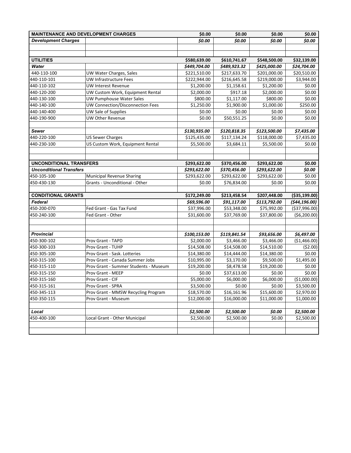| <b>MAINTENANCE AND DEVELOPMENT CHARGES</b> |                                       | \$0.00       | \$0.00                  | \$0.00       | \$0.00         |
|--------------------------------------------|---------------------------------------|--------------|-------------------------|--------------|----------------|
| <b>Development Charges</b>                 |                                       | \$0.00       | \$0.00                  | \$0.00       | \$0.00         |
|                                            |                                       |              |                         |              |                |
|                                            |                                       |              |                         |              |                |
| <b>UTILITIES</b>                           |                                       | \$580,639.00 | \$610,741.67            | \$548,500.00 | \$32,139.00    |
| Water                                      |                                       | \$449,704.00 | \$489,923.32            | \$425,000.00 | \$24,704.00    |
| 440-110-100                                | UW Water Charges, Sales               | \$221,510.00 | \$217,633.70            | \$201,000.00 | \$20,510.00    |
| 440-110-101                                | UW Infrastructure Fees                | \$222,944.00 | \$216,645.58            | \$219,000.00 | \$3,944.00     |
| 440-110-102                                | UW Interest Revenue                   | \$1,200.00   | \$1,158.61              | \$1,200.00   | \$0.00         |
| 440-120-200                                | UW Custom Work, Equipment Rental      | \$2,000.00   | \$917.18                | \$2,000.00   | \$0.00         |
| 440-130-100                                | <b>UW Pumphouse Water Sales</b>       | \$800.00     | \$1,117.00              | \$800.00     | \$0.00         |
| 440-140-100                                | UW Connection/Disconnection Fees      | \$1,250.00   | \$1,900.00              | \$1,000.00   | \$250.00       |
| 440-140-400                                | UW Sale of Supplies                   | \$0.00       | \$0.00                  | \$0.00       | \$0.00         |
| 440-190-900                                | UW Other Revenue                      | \$0.00       | \$50,551.25             | \$0.00       | \$0.00         |
|                                            |                                       |              |                         |              |                |
| Sewer                                      |                                       | \$130,935.00 | \$120,818.35            | \$123,500.00 | \$7,435.00     |
| 440-220-100                                | <b>US Sewer Charges</b>               | \$125,435.00 | \$117,134.24            | \$118,000.00 | \$7,435.00     |
| 440-230-100                                | US Custom Work, Equipment Rental      | \$5,500.00   | \$3,684.11              | \$5,500.00   | \$0.00         |
|                                            |                                       |              |                         |              |                |
|                                            |                                       |              |                         |              |                |
| <b>UNCONDITIONAL TRANSFERS</b>             |                                       | \$293,622.00 | \$370,456.00            | \$293,622.00 | \$0.00         |
| <b>Unconditional Transfers</b>             |                                       | \$293,622.00 | \$370,456.00            | \$293,622.00 | \$0.00         |
| 450-105-100                                | Municipal Revenue Sharing             | \$293,622.00 | \$293,622.00            | \$293,622.00 | \$0.00         |
| 450-430-130                                | Grants - Unconditional - Other        | \$0.00       | \$76,834.00             | \$0.00       | \$0.00         |
|                                            |                                       |              |                         |              |                |
| <b>CONDITIONAL GRANTS</b>                  |                                       | \$172,249.00 | \$213,458.54            | \$207,448.00 | ( \$35,199.00) |
| Federal                                    |                                       | \$69,596.00  | \$91,117.00             | \$113,792.00 | (544, 196.00)  |
| 450-200-070                                | Fed Grant - Gas Tax Fund              | \$37,996.00  | \$53,348.00             | \$75,992.00  | ( \$37,996.00) |
| 450-240-100                                | Fed Grant - Other                     | \$31,600.00  | \$37,769.00             | \$37,800.00  | ( \$6,200.00)  |
| <b>Provincial</b>                          |                                       | \$100,153.00 | \$119,841.54            | \$93,656.00  | \$6,497.00     |
| 450-300-102                                | Prov Grant - TAPD                     | \$2,000.00   | \$3,466.00              | \$3,466.00   | (\$1,466.00)   |
| 450-300-103                                | Prov Grant - TUHP                     | \$14,508.00  | \$14,508.00             | \$14,510.00  | (52.00)        |
| 450-305-100                                | Prov Grant - Sask. Lotteries          | \$14,380.00  | \$14,444.00             | \$14,380.00  | \$0.00         |
| 450-315-100                                | Prov Grant - Canada Summer Jobs       | \$10,995.00  | \$3,170.00              | \$9,500.00   | \$1,495.00     |
| 450-315-110                                | Prov Grant - Summer Students - Museum | \$19,200.00  | \$8,478.58              | \$19,200.00  | \$0.00         |
| 450-315-150                                | Prov Grant - MEEP                     | \$0.00       | $\overline{$}37,613.00$ | \$0.00       | \$0.00         |
| 450-315-160                                | Prov Grant - CIF                      | \$5,000.00   | \$6,000.00              | \$6,000.00   | (\$1,000.00)   |
| 450-315-161                                | Prov Grant - SPRA                     | \$3,500.00   | \$0.00                  | \$0.00       | \$3,500.00     |
| 450-345-113                                | Prov Grant - MMSW Recycling Program   | \$18,570.00  | \$16,161.96             | \$15,600.00  | \$2,970.00     |
| 450-350-115                                | Prov Grant - Museum                   | \$12,000.00  | \$16,000.00             | \$11,000.00  | \$1,000.00     |
|                                            |                                       |              |                         |              |                |
| Local                                      |                                       | \$2,500.00   | \$2,500.00              | \$0.00       | \$2,500.00     |
| 450-400-100                                | Local Grant - Other Municipal         | \$2,500.00   | \$2,500.00              | \$0.00       | \$2,500.00     |
|                                            |                                       |              |                         |              |                |
|                                            |                                       |              |                         |              |                |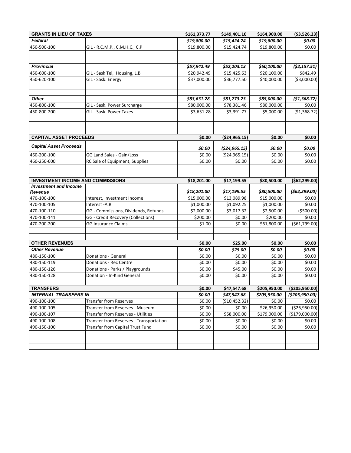| <b>GRANTS IN LIEU OF TAXES</b>           | \$161,373.77                              |             | \$149,401.10    | \$164,900.00 |                  |  |  |  |
|------------------------------------------|-------------------------------------------|-------------|-----------------|--------------|------------------|--|--|--|
| Federal                                  |                                           | \$19,800.00 | \$15,424.74     | \$19,800.00  | \$0.00           |  |  |  |
| 450-500-100                              | GIL - R.C.M.P., C.M.H.C., C.P             | \$19,800.00 | \$15,424.74     | \$19,800.00  | \$0.00           |  |  |  |
|                                          |                                           |             |                 |              |                  |  |  |  |
|                                          |                                           |             |                 |              |                  |  |  |  |
| <b>Provincial</b>                        |                                           | \$57,942.49 | \$52,203.13     | \$60,100.00  | (52, 157.51)     |  |  |  |
| 450-600-100                              | GIL - Sask Tel, Housing, L.B              | \$20,942.49 | \$15,425.63     | \$20,100.00  | \$842.49         |  |  |  |
| 450-620-100                              | GIL - Sask. Energy                        | \$37,000.00 | \$36,777.50     | \$40,000.00  | ( \$3,000.00)    |  |  |  |
| <b>Other</b>                             |                                           | \$83,631.28 | \$81,773.23     | \$85,000.00  | (51, 368.72)     |  |  |  |
| 450-800-100                              | GIL - Sask. Power Surcharge               | \$80,000.00 | \$78,381.46     | \$80,000.00  | \$0.00           |  |  |  |
| 450-800-200                              | GIL - Sask. Power Taxes                   | \$3,631.28  | \$3,391.77      | \$5,000.00   | (\$1,368.72)     |  |  |  |
|                                          |                                           |             |                 |              |                  |  |  |  |
| <b>CAPITAL ASSET PROCEEDS</b>            |                                           | \$0.00      | ( \$24, 965.15) | \$0.00       | \$0.00           |  |  |  |
|                                          |                                           |             |                 |              |                  |  |  |  |
| <b>Capital Asset Proceeds</b>            |                                           | \$0.00      | (524, 965.15)   | \$0.00       | \$0.00           |  |  |  |
| 460-200-100                              | GG Land Sales - Gain/Loss                 | \$0.00      | ( \$24, 965.15) | \$0.00       | \$0.00           |  |  |  |
| 460-250-600                              | RC Sale of Equipment, Supplies            | \$0.00      | \$0.00          | \$0.00       | \$0.00           |  |  |  |
| <b>INVESTMENT INCOME AND COMMISSIONS</b> |                                           | \$18,201.00 | \$17,199.55     | \$80,500.00  | ( \$62, 299.00]  |  |  |  |
| <b>Investment and Income</b>             |                                           |             |                 |              |                  |  |  |  |
| Revenue                                  |                                           | \$18,201.00 | \$17,199.55     | \$80,500.00  | (562, 299.00)    |  |  |  |
| 470-100-100                              | Interest, Investment Income               | \$15,000.00 | \$13,089.98     | \$15,000.00  | \$0.00           |  |  |  |
| 470-100-105                              | Interest-A.R                              | \$1,000.00  | \$1,092.25      | \$1,000.00   | \$0.00           |  |  |  |
| 470-100-110                              | GG - Commissions, Dividends, Refunds      | \$2,000.00  | \$3,017.32      | \$2,500.00   | ( \$500.00)      |  |  |  |
| 470-100-141                              | GG - Credit Recovery (Collections)        | \$200.00    | \$0.00          | \$200.00     | \$0.00           |  |  |  |
| 470-200-200                              | <b>GG Insurance Claims</b>                | \$1.00      | \$0.00          | \$61,800.00  | ( \$61,799.00)   |  |  |  |
| <b>OTHER REVENUES</b>                    |                                           | \$0.00      | \$25.00         | \$0.00       | \$0.00           |  |  |  |
| <b>Other Revenue</b>                     |                                           | \$0.00      | \$25.00         | \$0.00       | \$0.00           |  |  |  |
| 480-150-100                              | Donations - General                       | \$0.00      | \$0.00          | \$0.00       | \$0.00           |  |  |  |
| 480-150-119                              | Donations - Rec Centre                    | \$0.00      | \$0.00          | \$0.00       | \$0.00           |  |  |  |
| 480-150-126                              | Donations - Parks / Playgrounds           | \$0.00      | \$45.00         | \$0.00       | \$0.00           |  |  |  |
| 480-150-128                              | Donation - In-Kind General                | \$0.00      | \$0.00          | \$0.00       | \$0.00           |  |  |  |
|                                          |                                           |             |                 |              |                  |  |  |  |
| <b>TRANSFERS</b>                         |                                           | \$0.00      | \$47,547.68     | \$205,950.00 | ( \$205, 950.00) |  |  |  |
| <b>INTERNAL TRANSFERS IN</b>             |                                           | \$0.00      | \$47,547.68     | \$205,950.00 | (\$205,950.00)   |  |  |  |
| 490-100-100                              | <b>Transfer from Reserves</b>             | \$0.00      | (\$10,452.32)   | \$0.00       | \$0.00           |  |  |  |
| 490-100-105                              | Transfer from Reserves - Museum           | \$0.00      | \$0.00          | \$26,950.00  | (\$26,950.00)    |  |  |  |
| 490-100-107                              | <b>Transfer from Reserves - Utilities</b> | \$0.00      | \$58,000.00     | \$179,000.00 | (\$179,000.00)   |  |  |  |
| 490-100-108                              | Transfer from Reserves - Transportation   | \$0.00      | \$0.00          | \$0.00       | \$0.00           |  |  |  |
| 490-150-100                              | Transfer from Capital Trust Fund          | \$0.00      | \$0.00          | \$0.00       | \$0.00           |  |  |  |
|                                          |                                           |             |                 |              |                  |  |  |  |
|                                          |                                           |             |                 |              |                  |  |  |  |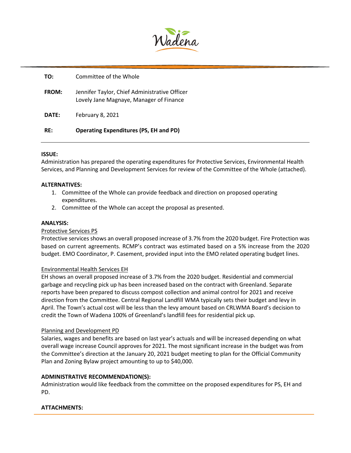

| RF:   | <b>Operating Expenditures (PS, EH and PD)</b>                                            |
|-------|------------------------------------------------------------------------------------------|
| DATE: | February 8, 2021                                                                         |
| FROM: | Jennifer Taylor, Chief Administrative Officer<br>Lovely Jane Magnaye, Manager of Finance |
| TO:   | Committee of the Whole                                                                   |

## **ISSUE:**

Administration has prepared the operating expenditures for Protective Services, Environmental Health Services, and Planning and Development Services for review of the Committee of the Whole (attached).

## **ALTERNATIVES:**

- 1. Committee of the Whole can provide feedback and direction on proposed operating expenditures.
- 2. Committee of the Whole can accept the proposal as presented.

#### **ANALYSIS:**

## Protective Services PS

Protective services shows an overall proposed increase of 3.7% from the 2020 budget. Fire Protection was based on current agreements. RCMP's contract was estimated based on a 5% increase from the 2020 budget. EMO Coordinator, P. Casement, provided input into the EMO related operating budget lines.

## Environmental Health Services EH

EH shows an overall proposed increase of 3.7% from the 2020 budget. Residential and commercial garbage and recycling pick up has been increased based on the contract with Greenland. Separate reports have been prepared to discuss compost collection and animal control for 2021 and receive direction from the Committee. Central Regional Landfill WMA typically sets their budget and levy in April. The Town's actual cost will be less than the levy amount based on CRLWMA Board's decision to credit the Town of Wadena 100% of Greenland's landfill fees for residential pick up.

#### Planning and Development PD

Salaries, wages and benefits are based on last year's actuals and will be increased depending on what overall wage increase Council approves for 2021. The most significant increase in the budget was from the Committee's direction at the January 20, 2021 budget meeting to plan for the Official Community Plan and Zoning Bylaw project amounting to up to \$40,000.

## **ADMINISTRATIVE RECOMMENDATION(S):**

Administration would like feedback from the committee on the proposed expenditures for PS, EH and PD.

## **ATTACHMENTS:**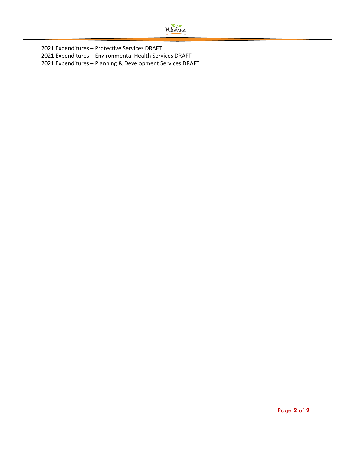

2021 Expenditures – Protective Services DRAFT 2021 Expenditures – Environmental Health Services DRAFT 2021 Expenditures – Planning & Development Services DRAFT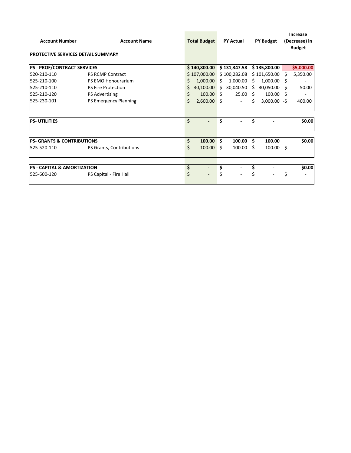| <b>Account Number</b>                  | <b>Account Name</b>                | <b>Total Budget</b> |               | <b>PY Actual</b> |              | <b>PY Budget</b> |                | Increase<br>(Decrease) in<br><b>Budget</b> |            |
|----------------------------------------|------------------------------------|---------------------|---------------|------------------|--------------|------------------|----------------|--------------------------------------------|------------|
|                                        | PROTECTIVE SERVICES DETAIL SUMMARY |                     |               |                  |              |                  |                |                                            |            |
| <b>PS - PROF/CONTRACT SERVICES</b>     |                                    |                     | \$140,800.00  |                  | \$131,347.58 |                  | \$135,800.00   |                                            | \$5,000.00 |
| 520-210-110                            | <b>PS RCMP Contract</b>            |                     | \$107,000.00  |                  | \$100,282.08 |                  | \$101,650.00   | -S                                         | 5,350.00   |
| 525-210-100                            | PS EMO Honourarium                 | Ś                   | 1,000.00      | Ŝ.               | 1,000.00     | Ŝ.               | 1,000.00       | S                                          |            |
| 525-210-110                            | <b>PS Fire Protection</b>          | S                   | 30,100.00     | Ŝ.               | 30,040.50    | Ŝ.               | 30,050.00      | S                                          | 50.00      |
| 525-210-120                            | <b>PS Advertising</b>              | \$                  | 100.00        | Ŝ.               | 25.00        | -S               | 100.00         | Ś                                          |            |
| 525-230-101                            | <b>PS Emergency Planning</b>       | Ś                   | $2,600.00$ \$ |                  | ÷,           | S                | $3,000.00 - $$ |                                            | 400.00     |
| <b>PS-UTILITIES</b>                    |                                    | \$                  |               | \$               | ٠            | \$               |                |                                            | \$0.00     |
| <b>PS- GRANTS &amp; CONTRIBUTIONS</b>  |                                    | \$                  | 100.00        | Ŝ.               | 100.00       | -Ś               | 100.00         |                                            | \$0.00     |
| 525-520-110                            | PS Grants, Contributions           | Ś                   | 100.00        | Ŝ.               | 100.00       | - Ś              | $100.00$ \$    |                                            |            |
|                                        |                                    |                     |               |                  |              |                  |                |                                            |            |
| <b>PS - CAPITAL &amp; AMORTIZATION</b> |                                    | \$                  |               | \$               |              | \$               |                |                                            | \$0.00     |
| 525-600-120                            | PS Capital - Fire Hall             | \$                  |               | \$               |              | \$               |                | \$                                         |            |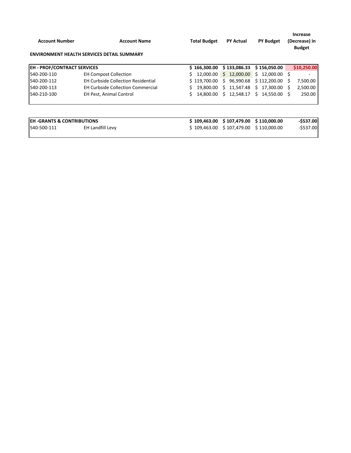| <b>Account Number</b>                 | <b>Account Name</b><br><b>ENVIRONMENT HEALTH SERVICES DETAIL SUMMARY</b> | <b>Total Budget</b> | <b>PY Actual</b> | <b>PY Budget</b>   | Increase<br>(Decrease) in<br><b>Budget</b> |
|---------------------------------------|--------------------------------------------------------------------------|---------------------|------------------|--------------------|--------------------------------------------|
| <b>EH - PROF/CONTRACT SERVICES</b>    |                                                                          | \$166,300.00        | \$133,086.33     | \$156,050.00       | \$10,250.00                                |
| 540-200-110                           | <b>EH Compost Collection</b>                                             | 12.000.00           | \$12,000.00      | 12,000.00 \$<br>S. |                                            |
| 540-200-112                           | <b>EH Curbside Collection Residential</b>                                | \$119,700.00        | 96,990.68<br>S.  | \$112,200.00       | 7,500.00<br>S                              |
| 540-200-113                           | <b>EH Curbside Collection Commercial</b>                                 | S.<br>19,800.00     | 11,547.48<br>S.  | 17,300.00<br>Ŝ.    | 2,500.00<br>S                              |
| 540-210-100                           | <b>EH Pest, Animal Control</b>                                           | Ś.<br>14.800.00     | 12.548.17<br>S.  | Ś.<br>14.550.00    | 250.00<br>s                                |
|                                       |                                                                          |                     |                  |                    |                                            |
| <b>EH -GRANTS &amp; CONTRIBUTIONS</b> |                                                                          | \$109,463.00        | \$107,479.00     | \$110,000.00       | $-$537.00$                                 |
| 540-500-111                           | <b>EH Landfill Levy</b>                                                  | \$109.463.00        | \$107,479.00     | \$110,000.00       | $-$ \$537.00                               |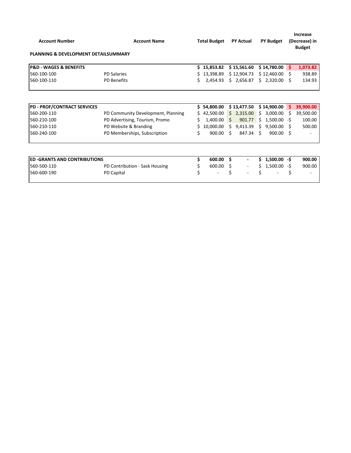|                                                 |                                    |                     |           |    |                          |                  |                |                                | <b>Increase</b> |
|-------------------------------------------------|------------------------------------|---------------------|-----------|----|--------------------------|------------------|----------------|--------------------------------|-----------------|
| <b>Account Number</b>                           | <b>Account Name</b>                | <b>Total Budget</b> |           |    | <b>PY Actual</b>         | <b>PY Budget</b> |                | (Decrease) in<br><b>Budget</b> |                 |
| <b>PLANNING &amp; DEVELOPMENT DETAILSUMMARY</b> |                                    |                     |           |    |                          |                  |                |                                |                 |
| <b>P&amp;D - WAGES &amp; BENEFITS</b>           |                                    | S.                  | 15,853.82 |    | \$15,561.60              |                  | \$14,780.00    | Š.                             | 1,073.82        |
| 560-100-100                                     | <b>PD Salaries</b>                 | Ś.                  | 13,398.89 |    | \$12,904.73              |                  | \$12,460.00    | Ś                              | 938.89          |
| 560-100-110                                     | <b>PD Benefits</b>                 | Ś                   | 2,454.93  |    | \$2,656.87               |                  | \$2,320.00     | S                              | 134.93          |
|                                                 |                                    |                     |           |    |                          |                  |                |                                |                 |
| <b>PD - PROF/CONTRACT SERVICES</b>              |                                    | Ś.                  | 54,800.00 |    | \$13,477.50              |                  | \$14,900.00    | Š.                             | 39,900.00       |
| 560-200-110                                     | PD Community Development, Planning | Ś                   | 42,500.00 | Ŝ. | 2,315.00                 | \$               | 3,000.00       | Ś                              | 39,500.00       |
| 560-210-100                                     | PD Advertising, Tourism, Promo     | Ś                   | 1,400.00  | S. | 901.77                   | Ś.               | 1,500.00       | -S                             | 100.00          |
| 560-210-110                                     | PD Website & Branding              | Ś                   | 10,000.00 | S  | 9,413.39                 | Ś.               | 9,500.00       | s                              | 500.00          |
| 560-240-100                                     | PD Memberships, Subscription       | Ś                   | 900.00    | Ś. | 847.34                   | Ś                | 900.00         | \$                             |                 |
|                                                 |                                    |                     |           |    |                          |                  |                |                                |                 |
| <b>ED-GRANTS AND CONTRIBUTIONS</b>              |                                    | Ś                   | 600.00    | Ŝ. |                          | Ś                | $1,500.00 - $$ |                                | 900.00          |
| 560-500-110                                     | PD Contribution - Sask Housing     | \$                  | 600.00    | Ŝ  | $\overline{\phantom{a}}$ | Ś                | 1,500.00       | -\$                            | 900.00          |
| 560-600-190                                     | <b>PD Capital</b>                  | \$                  |           | \$ |                          |                  |                | \$                             |                 |